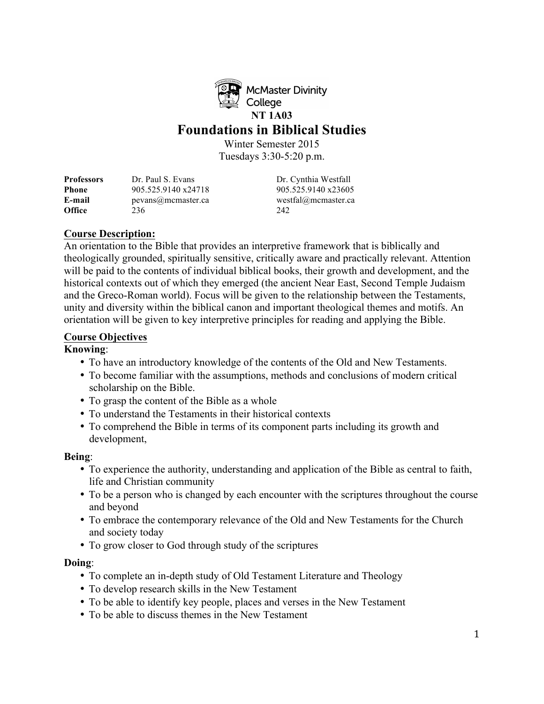

**McMaster Divinity** College **NT 1A03** 

## **Foundations in Biblical Studies**

Winter Semester 2015 Tuesdays 3:30-5:20 p.m.

**Professors** Dr. Paul S. Evans Dr. Cynthia Westfall **Phone** 905.525.9140 x24718 905.525.9140 x23605 **E-mail** pevans@mcmaster.ca westfal@mcmaster.ca **Office** 236 242

## **Course Description:**

An orientation to the Bible that provides an interpretive framework that is biblically and theologically grounded, spiritually sensitive, critically aware and practically relevant. Attention will be paid to the contents of individual biblical books, their growth and development, and the historical contexts out of which they emerged (the ancient Near East, Second Temple Judaism and the Greco-Roman world). Focus will be given to the relationship between the Testaments, unity and diversity within the biblical canon and important theological themes and motifs. An orientation will be given to key interpretive principles for reading and applying the Bible.

## **Course Objectives**

## **Knowing**:

- To have an introductory knowledge of the contents of the Old and New Testaments.
- To become familiar with the assumptions, methods and conclusions of modern critical scholarship on the Bible.
- To grasp the content of the Bible as a whole
- To understand the Testaments in their historical contexts
- To comprehend the Bible in terms of its component parts including its growth and development,

## **Being**:

- To experience the authority, understanding and application of the Bible as central to faith, life and Christian community
- To be a person who is changed by each encounter with the scriptures throughout the course and beyond
- To embrace the contemporary relevance of the Old and New Testaments for the Church and society today
- To grow closer to God through study of the scriptures

## **Doing**:

- To complete an in-depth study of Old Testament Literature and Theology
- To develop research skills in the New Testament
- To be able to identify key people, places and verses in the New Testament
- To be able to discuss themes in the New Testament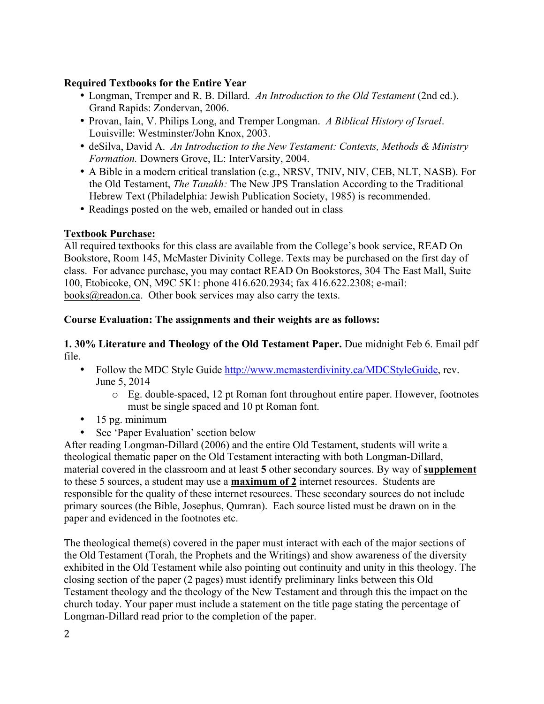## **Required Textbooks for the Entire Year**

- Longman, Tremper and R. B. Dillard. *An Introduction to the Old Testament* (2nd ed.). Grand Rapids: Zondervan, 2006.
- Provan, Iain, V. Philips Long, and Tremper Longman. *A Biblical History of Israel*. Louisville: Westminster/John Knox, 2003.
- deSilva, David A. *An Introduction to the New Testament: Contexts, Methods & Ministry Formation.* Downers Grove, IL: InterVarsity, 2004.
- A Bible in a modern critical translation (e.g., NRSV, TNIV, NIV, CEB, NLT, NASB). For the Old Testament, *The Tanakh:* The New JPS Translation According to the Traditional Hebrew Text (Philadelphia: Jewish Publication Society, 1985) is recommended.
- Readings posted on the web, emailed or handed out in class

## **Textbook Purchase:**

All required textbooks for this class are available from the College's book service, READ On Bookstore, Room 145, McMaster Divinity College. Texts may be purchased on the first day of class. For advance purchase, you may contact READ On Bookstores, 304 The East Mall, Suite 100, Etobicoke, ON, M9C 5K1: phone 416.620.2934; fax 416.622.2308; e-mail: books@readon.ca. Other book services may also carry the texts.

## **Course Evaluation: The assignments and their weights are as follows:**

**1. 30% Literature and Theology of the Old Testament Paper.** Due midnight Feb 6. Email pdf file.

- Follow the MDC Style Guide http://www.mcmasterdivinity.ca/MDCStyleGuide, rev. June 5, 2014
	- o Eg. double-spaced, 12 pt Roman font throughout entire paper. However, footnotes must be single spaced and 10 pt Roman font.
- $\cdot$  15 pg. minimum
- See 'Paper Evaluation' section below

After reading Longman-Dillard (2006) and the entire Old Testament, students will write a theological thematic paper on the Old Testament interacting with both Longman-Dillard, material covered in the classroom and at least **5** other secondary sources. By way of **supplement** to these 5 sources, a student may use a **maximum of 2** internet resources. Students are responsible for the quality of these internet resources. These secondary sources do not include primary sources (the Bible, Josephus, Qumran). Each source listed must be drawn on in the paper and evidenced in the footnotes etc.

The theological theme(s) covered in the paper must interact with each of the major sections of the Old Testament (Torah, the Prophets and the Writings) and show awareness of the diversity exhibited in the Old Testament while also pointing out continuity and unity in this theology. The closing section of the paper (2 pages) must identify preliminary links between this Old Testament theology and the theology of the New Testament and through this the impact on the church today. Your paper must include a statement on the title page stating the percentage of Longman-Dillard read prior to the completion of the paper.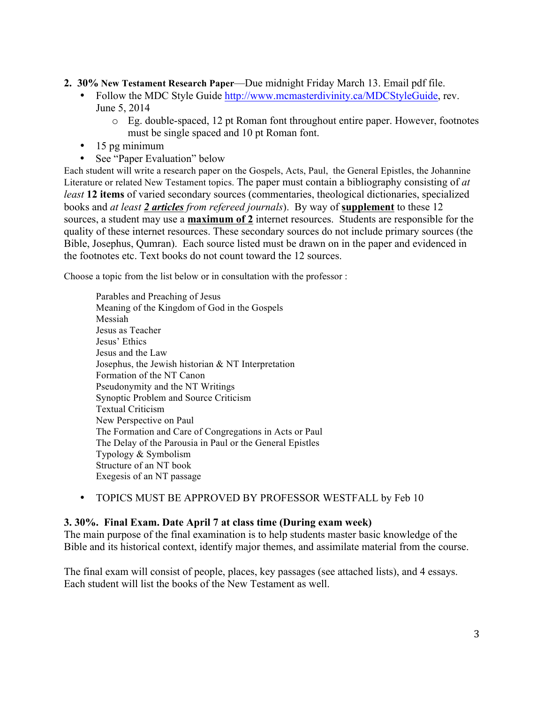**2. 30% New Testament Research Paper**—Due midnight Friday March 13. Email pdf file.

- Follow the MDC Style Guide http://www.mcmasterdivinity.ca/MDCStyleGuide, rev. June 5, 2014
	- o Eg. double-spaced, 12 pt Roman font throughout entire paper. However, footnotes must be single spaced and 10 pt Roman font.
- 15 pg minimum
- See "Paper Evaluation" below

Each student will write a research paper on the Gospels, Acts, Paul, the General Epistles, the Johannine Literature or related New Testament topics. The paper must contain a bibliography consisting of *at least* **12 items** of varied secondary sources (commentaries, theological dictionaries, specialized books and *at least 2 articles from refereed journals*). By way of **supplement** to these 12 sources, a student may use a **maximum of 2** internet resources. Students are responsible for the quality of these internet resources. These secondary sources do not include primary sources (the Bible, Josephus, Qumran). Each source listed must be drawn on in the paper and evidenced in the footnotes etc. Text books do not count toward the 12 sources.

Choose a topic from the list below or in consultation with the professor :

Parables and Preaching of Jesus Meaning of the Kingdom of God in the Gospels Messiah Jesus as Teacher Jesus' Ethics Jesus and the Law Josephus, the Jewish historian & NT Interpretation Formation of the NT Canon Pseudonymity and the NT Writings Synoptic Problem and Source Criticism Textual Criticism New Perspective on Paul The Formation and Care of Congregations in Acts or Paul The Delay of the Parousia in Paul or the General Epistles Typology & Symbolism Structure of an NT book Exegesis of an NT passage

• TOPICS MUST BE APPROVED BY PROFESSOR WESTFALL by Feb 10

#### **3. 30%. Final Exam. Date April 7 at class time (During exam week)**

The main purpose of the final examination is to help students master basic knowledge of the Bible and its historical context, identify major themes, and assimilate material from the course.

The final exam will consist of people, places, key passages (see attached lists), and 4 essays. Each student will list the books of the New Testament as well.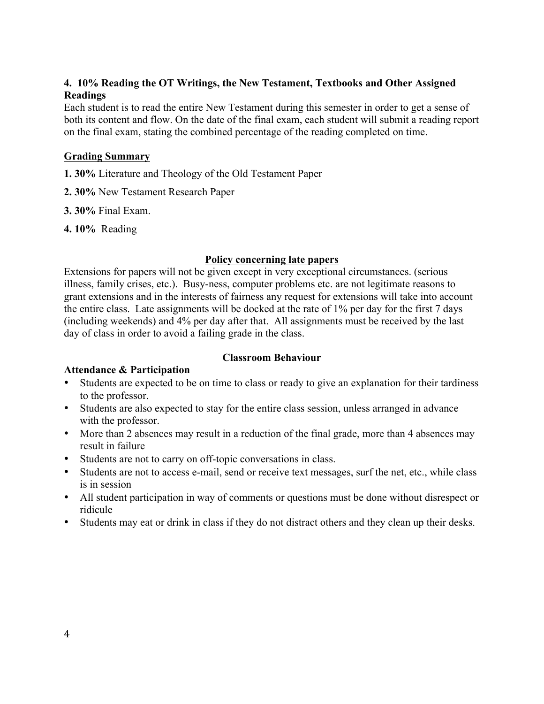## **4. 10% Reading the OT Writings, the New Testament, Textbooks and Other Assigned Readings**

Each student is to read the entire New Testament during this semester in order to get a sense of both its content and flow. On the date of the final exam, each student will submit a reading report on the final exam, stating the combined percentage of the reading completed on time.

#### **Grading Summary**

- **1. 30%** Literature and Theology of the Old Testament Paper
- **2. 30%** New Testament Research Paper
- **3. 30%** Final Exam.
- **4. 10%** Reading

#### **Policy concerning late papers**

Extensions for papers will not be given except in very exceptional circumstances. (serious illness, family crises, etc.). Busy-ness, computer problems etc. are not legitimate reasons to grant extensions and in the interests of fairness any request for extensions will take into account the entire class. Late assignments will be docked at the rate of 1% per day for the first 7 days (including weekends) and 4% per day after that. All assignments must be received by the last day of class in order to avoid a failing grade in the class.

## **Attendance & Participation**

## **Classroom Behaviour**

- Students are expected to be on time to class or ready to give an explanation for their tardiness to the professor.
- Students are also expected to stay for the entire class session, unless arranged in advance with the professor.
- More than 2 absences may result in a reduction of the final grade, more than 4 absences may result in failure
- Students are not to carry on off-topic conversations in class.
- Students are not to access e-mail, send or receive text messages, surf the net, etc., while class is in session
- All student participation in way of comments or questions must be done without disrespect or ridicule
- Students may eat or drink in class if they do not distract others and they clean up their desks.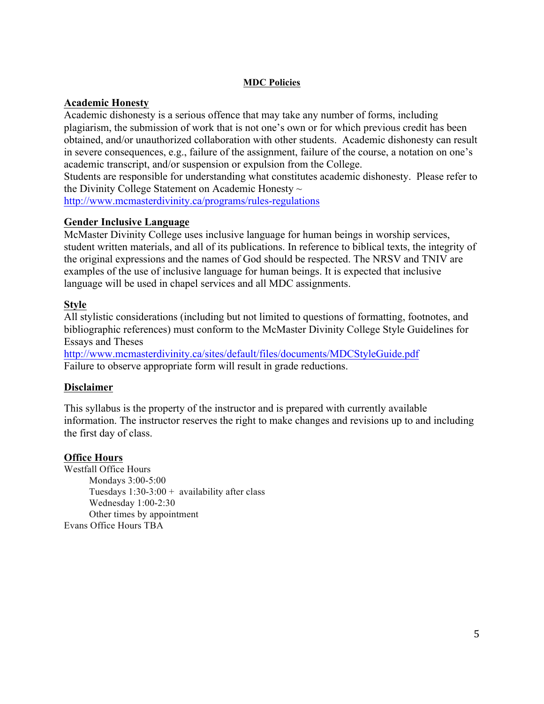#### **MDC Policies**

#### **Academic Honesty**

Academic dishonesty is a serious offence that may take any number of forms, including plagiarism, the submission of work that is not one's own or for which previous credit has been obtained, and/or unauthorized collaboration with other students. Academic dishonesty can result in severe consequences, e.g., failure of the assignment, failure of the course, a notation on one's academic transcript, and/or suspension or expulsion from the College.

Students are responsible for understanding what constitutes academic dishonesty. Please refer to the Divinity College Statement on Academic Honesty  $\sim$ 

http://www.mcmasterdivinity.ca/programs/rules-regulations

#### **Gender Inclusive Language**

McMaster Divinity College uses inclusive language for human beings in worship services, student written materials, and all of its publications. In reference to biblical texts, the integrity of the original expressions and the names of God should be respected. The NRSV and TNIV are examples of the use of inclusive language for human beings. It is expected that inclusive language will be used in chapel services and all MDC assignments.

#### **Style**

All stylistic considerations (including but not limited to questions of formatting, footnotes, and bibliographic references) must conform to the McMaster Divinity College Style Guidelines for Essays and Theses

http://www.mcmasterdivinity.ca/sites/default/files/documents/MDCStyleGuide.pdf Failure to observe appropriate form will result in grade reductions.

## **Disclaimer**

This syllabus is the property of the instructor and is prepared with currently available information. The instructor reserves the right to make changes and revisions up to and including the first day of class.

#### **Office Hours**

Westfall Office Hours Mondays 3:00-5:00 Tuesdays  $1:30-3:00 +$  availability after class Wednesday 1:00-2:30 Other times by appointment Evans Office Hours TBA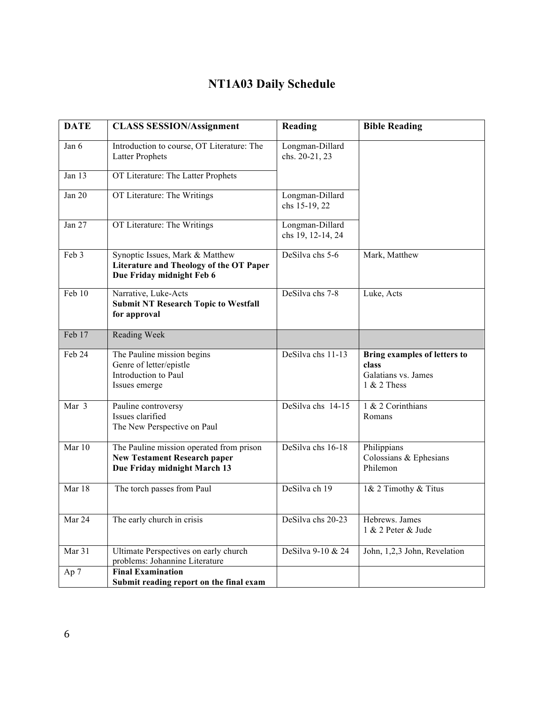# **NT1A03 Daily Schedule**

| <b>DATE</b> | <b>CLASS SESSION/Assignment</b>                                                                                 | Reading                              | <b>Bible Reading</b>                                                          |
|-------------|-----------------------------------------------------------------------------------------------------------------|--------------------------------------|-------------------------------------------------------------------------------|
| Jan 6       | Introduction to course, OT Literature: The<br><b>Latter Prophets</b>                                            | Longman-Dillard<br>chs. 20-21, 23    |                                                                               |
| Jan 13      | OT Literature: The Latter Prophets                                                                              |                                      |                                                                               |
| Jan 20      | OT Literature: The Writings                                                                                     | Longman-Dillard<br>chs 15-19, 22     |                                                                               |
| Jan 27      | OT Literature: The Writings                                                                                     | Longman-Dillard<br>chs 19, 12-14, 24 |                                                                               |
| Feb 3       | Synoptic Issues, Mark & Matthew<br>Literature and Theology of the OT Paper<br>Due Friday midnight Feb 6         | DeSilva chs 5-6                      | Mark, Matthew                                                                 |
| Feb 10      | Narrative, Luke-Acts<br><b>Submit NT Research Topic to Westfall</b><br>for approval                             | DeSilva chs 7-8                      | Luke, Acts                                                                    |
| Feb 17      | Reading Week                                                                                                    |                                      |                                                                               |
| Feb 24      | The Pauline mission begins<br>Genre of letter/epistle<br>Introduction to Paul<br>Issues emerge                  | DeSilva chs 11-13                    | Bring examples of letters to<br>class<br>Galatians vs. James<br>$1 & 2$ Thess |
| Mar 3       | Pauline controversy<br>Issues clarified<br>The New Perspective on Paul                                          | DeSilva chs 14-15                    | 1 & 2 Corinthians<br>Romans                                                   |
| Mar 10      | The Pauline mission operated from prison<br><b>New Testament Research paper</b><br>Due Friday midnight March 13 | DeSilva chs 16-18                    | Philippians<br>Colossians & Ephesians<br>Philemon                             |
| Mar 18      | The torch passes from Paul                                                                                      | DeSilva ch 19                        | 1& 2 Timothy & Titus                                                          |
| Mar 24      | The early church in crisis                                                                                      | DeSilva chs 20-23                    | Hebrews. James<br>1 & 2 Peter & Jude                                          |
| Mar 31      | Ultimate Perspectives on early church<br>problems: Johannine Literature                                         | DeSilva 9-10 & 24                    | John, 1,2,3 John, Revelation                                                  |
| Ap 7        | <b>Final Examination</b><br>Submit reading report on the final exam                                             |                                      |                                                                               |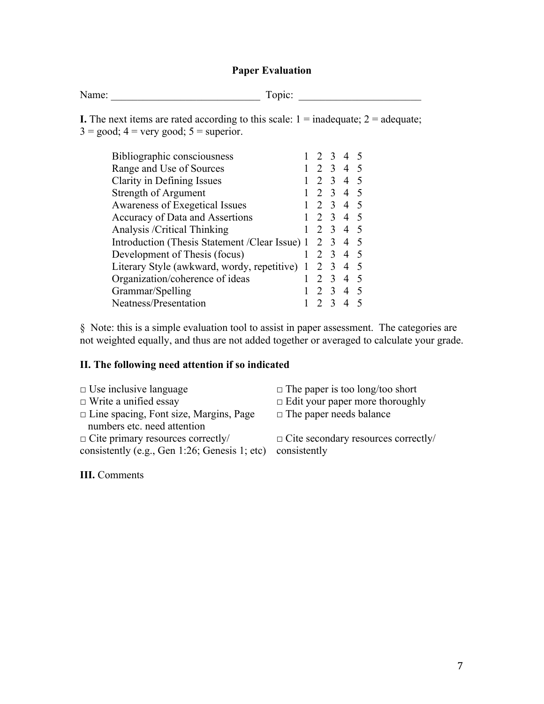#### **Paper Evaluation**

Name: \_\_\_\_\_\_\_\_\_\_\_\_\_\_\_\_\_\_\_\_\_\_\_\_\_\_\_\_ Topic: \_\_\_\_\_\_\_\_\_\_\_\_\_\_\_\_\_\_\_\_\_\_\_

**I.** The next items are rated according to this scale:  $1 = \text{inadequate}$ ;  $2 = \text{adequate}$ ;  $3 = \text{good}$ ;  $4 = \text{very good}$ ;  $5 = \text{superior}$ .

| Bibliographic consciousness                    |   |                             | 3 4            |                |        |
|------------------------------------------------|---|-----------------------------|----------------|----------------|--------|
| Range and Use of Sources                       |   | $\mathcal{D}_{\mathcal{L}}$ | $3\quad 4$     |                | $\sim$ |
| Clarity in Defining Issues                     |   | 2                           | $\overline{3}$ | $\overline{4}$ | - 5    |
| Strength of Argument                           |   | $\mathcal{D}_{\mathcal{L}}$ | $\overline{3}$ | $\overline{4}$ | -5     |
| Awareness of Exegetical Issues                 |   | $\mathcal{D}_{\mathcal{L}}$ | $\mathcal{E}$  | 4 5            |        |
| Accuracy of Data and Assertions                |   | $\overline{2}$              | $\overline{3}$ | 4 5            |        |
| Analysis /Critical Thinking                    |   |                             | $3\quad 4$     |                |        |
| Introduction (Thesis Statement /Clear Issue) 1 |   | 2                           | $\overline{3}$ | $\overline{4}$ | - 5    |
| Development of Thesis (focus)                  | 1 | $\mathcal{L}$               | $\overline{3}$ | 4              | - 5    |
| Literary Style (awkward, wordy, repetitive) 1  |   | 2                           | -3             | $\overline{4}$ | -5     |
| Organization/coherence of ideas                |   | $\mathcal{D}$               | $\mathcal{R}$  | $\overline{4}$ | -5     |
| Grammar/Spelling                               |   |                             | $\overline{3}$ | $\overline{4}$ |        |
| Neatness/Presentation                          |   |                             |                |                |        |
|                                                |   |                             |                |                |        |

§ Note: this is a simple evaluation tool to assist in paper assessment. The categories are not weighted equally, and thus are not added together or averaged to calculate your grade.

#### **II. The following need attention if so indicated**

| $\Box$ Use inclusive language                 | $\Box$ The paper  |
|-----------------------------------------------|-------------------|
| $\Box$ Write a unified essay                  | $\Box$ Edit your  |
| $\Box$ Line spacing, Font size, Margins, Page | $\Box$ The paper  |
| numbers etc. need attention                   |                   |
| $\Box$ Cite primary resources correctly/      | $\Box$ Cite secon |
| consistently (e.g., Gen 1:26; Genesis 1; etc) | consistently      |

**III.** Comments

- paper is too long/too short
- vour paper more thoroughly
- paper needs balance

secondary resources correctly/